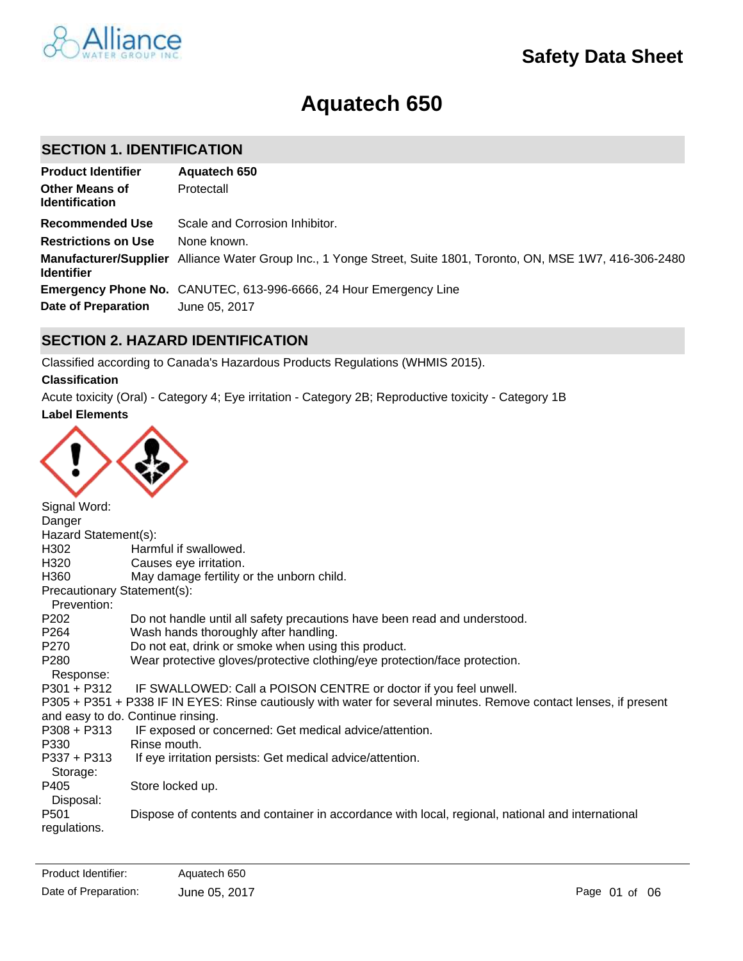

# **Aquatech 650**

### **SECTION 1. IDENTIFICATION**

| <b>Product Identifier</b>                      | Aquatech 650                                                                                                    |
|------------------------------------------------|-----------------------------------------------------------------------------------------------------------------|
| <b>Other Means of</b><br><b>Identification</b> | Protectall                                                                                                      |
| <b>Recommended Use</b>                         | Scale and Corrosion Inhibitor.                                                                                  |
| <b>Restrictions on Use</b>                     | None known.                                                                                                     |
| <b>Identifier</b>                              | Manufacturer/Supplier Alliance Water Group Inc., 1 Yonge Street, Suite 1801, Toronto, ON, MSE 1W7, 416-306-2480 |
|                                                | <b>Emergency Phone No.</b> CANUTEC, 613-996-6666, 24 Hour Emergency Line                                        |
| Date of Preparation                            | June 05, 2017                                                                                                   |

### **SECTION 2. HAZARD IDENTIFICATION**

Classified according to Canada's Hazardous Products Regulations (WHMIS 2015).

### **Classification**

**Label Elements** Acute toxicity (Oral) - Category 4; Eye irritation - Category 2B; Reproductive toxicity - Category 1B



| Signal Word:                     |                                                                                                                   |
|----------------------------------|-------------------------------------------------------------------------------------------------------------------|
| Danger                           |                                                                                                                   |
| Hazard Statement(s):             |                                                                                                                   |
| H302                             | Harmful if swallowed.                                                                                             |
| H320                             | Causes eye irritation.                                                                                            |
| H360                             | May damage fertility or the unborn child.                                                                         |
| Precautionary Statement(s):      |                                                                                                                   |
| Prevention:                      |                                                                                                                   |
| P <sub>202</sub>                 | Do not handle until all safety precautions have been read and understood.                                         |
| P264                             | Wash hands thoroughly after handling.                                                                             |
| P270                             | Do not eat, drink or smoke when using this product.                                                               |
| P <sub>280</sub>                 | Wear protective gloves/protective clothing/eye protection/face protection.                                        |
| Response:                        |                                                                                                                   |
| $P301 + P312$                    | IF SWALLOWED: Call a POISON CENTRE or doctor if you feel unwell.                                                  |
|                                  | P305 + P351 + P338 IF IN EYES: Rinse cautiously with water for several minutes. Remove contact lenses, if present |
|                                  | and easy to do. Continue rinsing.                                                                                 |
| $P308 + P313$                    | IF exposed or concerned: Get medical advice/attention.                                                            |
| P330                             | Rinse mouth.                                                                                                      |
| P337 + P313<br>Storage:          | If eye irritation persists: Get medical advice/attention.                                                         |
| P405<br>Disposal:                | Store locked up.                                                                                                  |
| P <sub>501</sub><br>regulations. | Dispose of contents and container in accordance with local, regional, national and international                  |
|                                  |                                                                                                                   |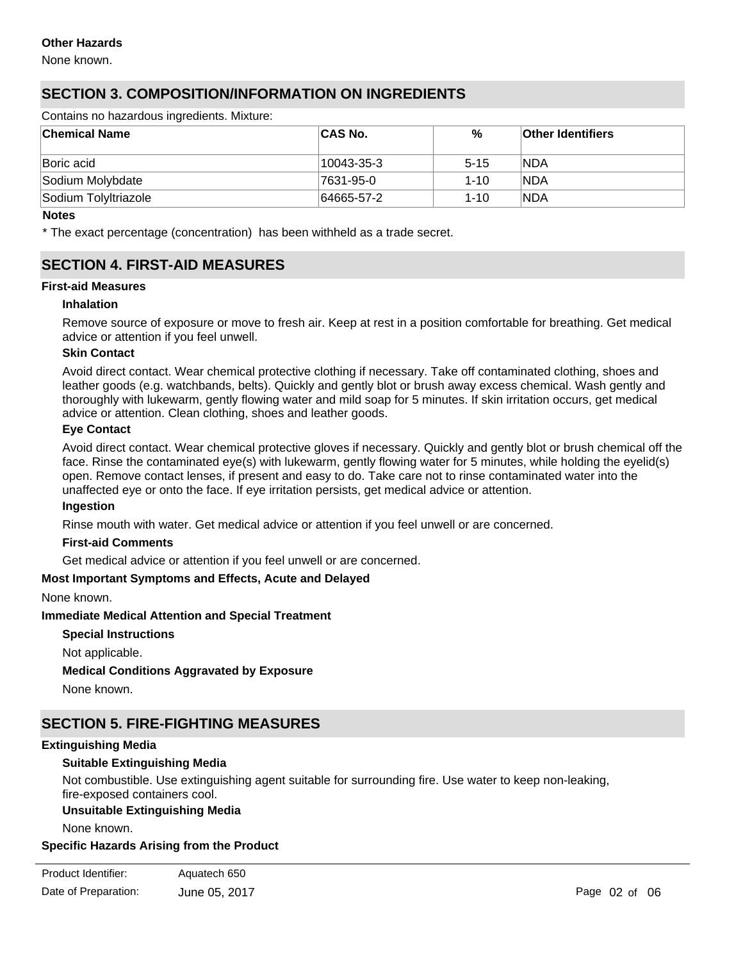None known.

## **SECTION 3. COMPOSITION/INFORMATION ON INGREDIENTS**

Contains no hazardous ingredients. Mixture:

| ∣Chemical Name       | <b>CAS No.</b> | %        | <b>Other Identifiers</b> |
|----------------------|----------------|----------|--------------------------|
| Boric acid           | 10043-35-3     | $5 - 15$ | <b>INDA</b>              |
| Sodium Molybdate     | 7631-95-0      | $1 - 10$ | <b>NDA</b>               |
| Sodium TolyItriazole | 64665-57-2     | $1 - 10$ | <b>NDA</b>               |

#### **Notes**

\* The exact percentage (concentration) has been withheld as a trade secret.

### **SECTION 4. FIRST-AID MEASURES**

#### **First-aid Measures**

#### **Inhalation**

Remove source of exposure or move to fresh air. Keep at rest in a position comfortable for breathing. Get medical advice or attention if you feel unwell.

#### **Skin Contact**

Avoid direct contact. Wear chemical protective clothing if necessary. Take off contaminated clothing, shoes and leather goods (e.g. watchbands, belts). Quickly and gently blot or brush away excess chemical. Wash gently and thoroughly with lukewarm, gently flowing water and mild soap for 5 minutes. If skin irritation occurs, get medical advice or attention. Clean clothing, shoes and leather goods.

#### **Eye Contact**

Avoid direct contact. Wear chemical protective gloves if necessary. Quickly and gently blot or brush chemical off the face. Rinse the contaminated eye(s) with lukewarm, gently flowing water for 5 minutes, while holding the eyelid(s) open. Remove contact lenses, if present and easy to do. Take care not to rinse contaminated water into the unaffected eye or onto the face. If eye irritation persists, get medical advice or attention.

#### **Ingestion**

Rinse mouth with water. Get medical advice or attention if you feel unwell or are concerned.

#### **First-aid Comments**

Get medical advice or attention if you feel unwell or are concerned.

### **Most Important Symptoms and Effects, Acute and Delayed**

None known.

### **Immediate Medical Attention and Special Treatment**

**Special Instructions**

Not applicable.

**Medical Conditions Aggravated by Exposure**

None known.

### **SECTION 5. FIRE-FIGHTING MEASURES**

### **Extinguishing Media**

### **Suitable Extinguishing Media**

Not combustible. Use extinguishing agent suitable for surrounding fire. Use water to keep non-leaking, fire-exposed containers cool.

### **Unsuitable Extinguishing Media**

None known.

### **Specific Hazards Arising from the Product**

| Product Identifier:  | Aquatech 650  |
|----------------------|---------------|
| Date of Preparation: | June 05, 2017 |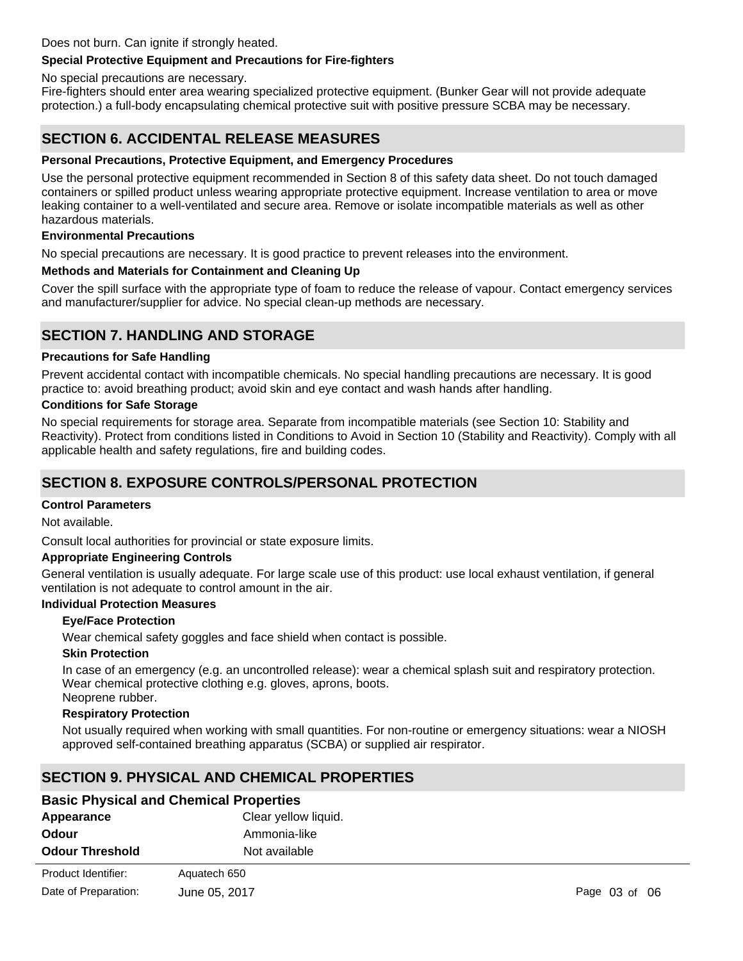### Does not burn. Can ignite if strongly heated.

### **Special Protective Equipment and Precautions for Fire-fighters**

No special precautions are necessary.

Fire-fighters should enter area wearing specialized protective equipment. (Bunker Gear will not provide adequate protection.) a full-body encapsulating chemical protective suit with positive pressure SCBA may be necessary.

### **SECTION 6. ACCIDENTAL RELEASE MEASURES**

### **Personal Precautions, Protective Equipment, and Emergency Procedures**

Use the personal protective equipment recommended in Section 8 of this safety data sheet. Do not touch damaged containers or spilled product unless wearing appropriate protective equipment. Increase ventilation to area or move leaking container to a well-ventilated and secure area. Remove or isolate incompatible materials as well as other hazardous materials.

### **Environmental Precautions**

No special precautions are necessary. It is good practice to prevent releases into the environment.

### **Methods and Materials for Containment and Cleaning Up**

Cover the spill surface with the appropriate type of foam to reduce the release of vapour. Contact emergency services and manufacturer/supplier for advice. No special clean-up methods are necessary.

### **SECTION 7. HANDLING AND STORAGE**

### **Precautions for Safe Handling**

Prevent accidental contact with incompatible chemicals. No special handling precautions are necessary. It is good practice to: avoid breathing product; avoid skin and eye contact and wash hands after handling.

#### **Conditions for Safe Storage**

No special requirements for storage area. Separate from incompatible materials (see Section 10: Stability and Reactivity). Protect from conditions listed in Conditions to Avoid in Section 10 (Stability and Reactivity). Comply with all applicable health and safety regulations, fire and building codes.

### **SECTION 8. EXPOSURE CONTROLS/PERSONAL PROTECTION**

### **Control Parameters**

Not available.

Consult local authorities for provincial or state exposure limits.

### **Appropriate Engineering Controls**

General ventilation is usually adequate. For large scale use of this product: use local exhaust ventilation, if general ventilation is not adequate to control amount in the air.

### **Individual Protection Measures**

### **Eye/Face Protection**

Wear chemical safety goggles and face shield when contact is possible.

#### **Skin Protection**

In case of an emergency (e.g. an uncontrolled release): wear a chemical splash suit and respiratory protection. Wear chemical protective clothing e.g. gloves, aprons, boots. Neoprene rubber.

### **Respiratory Protection**

Not usually required when working with small quantities. For non-routine or emergency situations: wear a NIOSH approved self-contained breathing apparatus (SCBA) or supplied air respirator.

### **SECTION 9. PHYSICAL AND CHEMICAL PROPERTIES**

### **Basic Physical and Chemical Properties**

| Appearance             | Clear yellow liquid. |
|------------------------|----------------------|
| Odour                  | Ammonia-like         |
| <b>Odour Threshold</b> | Not available        |

| Product Identifier:  | Aquatech 650  |
|----------------------|---------------|
| Date of Preparation: | June 05, 2017 |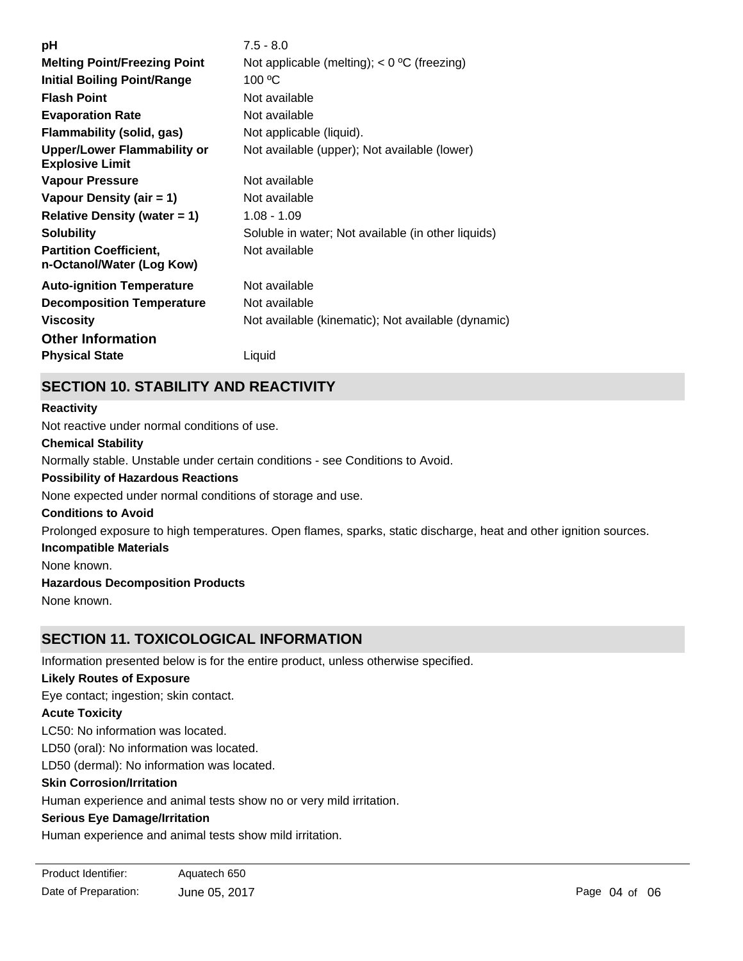| $7.5 - 8.0$                                        |
|----------------------------------------------------|
| Not applicable (melting); $<$ 0 °C (freezing)      |
| 100 °C                                             |
| Not available                                      |
| Not available                                      |
| Not applicable (liquid).                           |
| Not available (upper); Not available (lower)       |
| Not available                                      |
| Not available                                      |
| $1.08 - 1.09$                                      |
| Soluble in water; Not available (in other liquids) |
| Not available                                      |
| Not available                                      |
| Not available                                      |
| Not available (kinematic); Not available (dynamic) |
|                                                    |
| Liquid                                             |
|                                                    |

# **SECTION 10. STABILITY AND REACTIVITY**

# **Chemical Stability** Normally stable. Unstable under certain conditions - see Conditions to Avoid. **Conditions to Avoid** Prolonged exposure to high temperatures. Open flames, sparks, static discharge, heat and other ignition sources. **Incompatible Materials** None known. **Hazardous Decomposition Products Possibility of Hazardous Reactions** None expected under normal conditions of storage and use. **Reactivity** Not reactive under normal conditions of use.

None known.

# **SECTION 11. TOXICOLOGICAL INFORMATION**

Information presented below is for the entire product, unless otherwise specified.

### **Likely Routes of Exposure**

Eye contact; ingestion; skin contact.

### **Acute Toxicity**

LC50: No information was located.

LD50 (oral): No information was located.

LD50 (dermal): No information was located.

### **Skin Corrosion/Irritation**

Human experience and animal tests show no or very mild irritation.

### **Serious Eye Damage/Irritation**

Human experience and animal tests show mild irritation.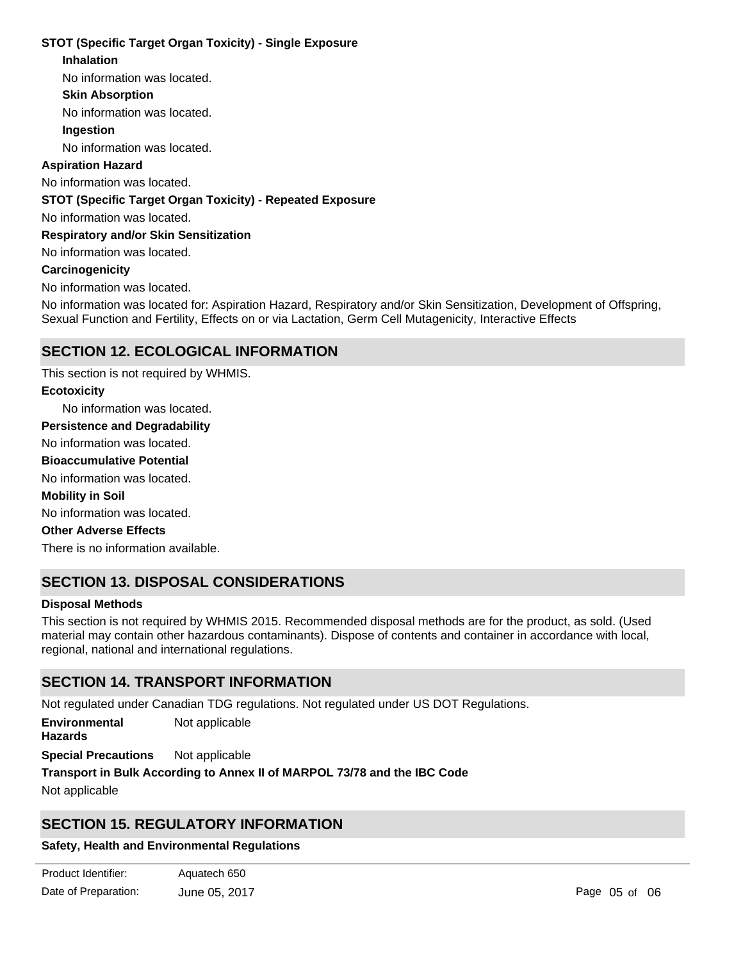### **STOT (Specific Target Organ Toxicity) - Single Exposure**

### **Inhalation**

No information was located.

### **Skin Absorption**

No information was located.

### **Ingestion**

No information was located.

### **Aspiration Hazard**

No information was located.

### **STOT (Specific Target Organ Toxicity) - Repeated Exposure**

No information was located.

### **Respiratory and/or Skin Sensitization**

No information was located.

### **Carcinogenicity**

No information was located.

No information was located for: Aspiration Hazard, Respiratory and/or Skin Sensitization, Development of Offspring, Sexual Function and Fertility, Effects on or via Lactation, Germ Cell Mutagenicity, Interactive Effects

### **SECTION 12. ECOLOGICAL INFORMATION**

No information was located. No information was located. No information was located. There is no information available. This section is not required by WHMIS. No information was located. **Ecotoxicity Persistence and Degradability Mobility in Soil Other Adverse Effects Bioaccumulative Potential**

# **SECTION 13. DISPOSAL CONSIDERATIONS**

### **Disposal Methods**

This section is not required by WHMIS 2015. Recommended disposal methods are for the product, as sold. (Used material may contain other hazardous contaminants). Dispose of contents and container in accordance with local, regional, national and international regulations.

### **SECTION 14. TRANSPORT INFORMATION**

Not regulated under Canadian TDG regulations. Not regulated under US DOT Regulations.

**Environmental Hazards** Not applicable

**Special Precautions** Not applicable

**Transport in Bulk According to Annex II of MARPOL 73/78 and the IBC Code**

Not applicable

### **SECTION 15. REGULATORY INFORMATION**

### **Safety, Health and Environmental Regulations**

| Product Identifier:  | Aquatech 650  |
|----------------------|---------------|
| Date of Preparation: | June 05, 2017 |